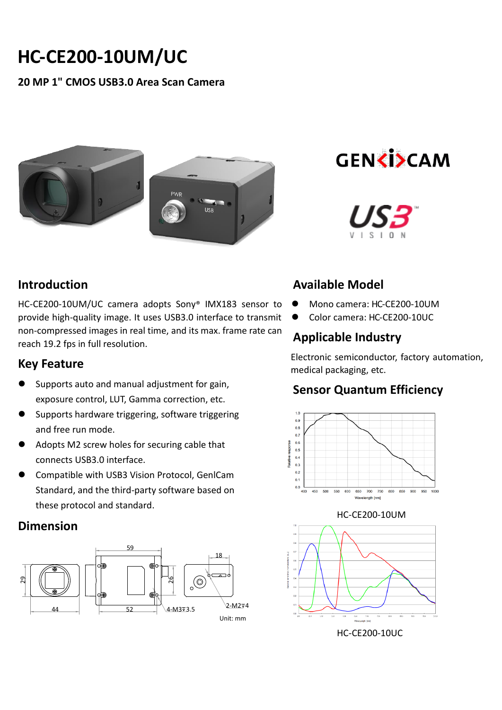# **HC-CE200-10UM/UC**

#### **20 MP 1" CMOS USB3.0 Area Scan Camera**



**GENKISCAM** 



## **Introduction**

HC-CE200-10UM/UC camera adopts Sony® IMX183 sensor to provide high-quality image. It uses USB3.0 interface to transmit non-compressed images in real time, and its max. frame rate can reach 19.2 fps in full resolution.

#### **Key Feature**

- Supports auto and manual adjustment for gain, exposure control, LUT, Gamma correction, etc.
- Supports hardware triggering, software triggering and free run mode.
- Adopts M2 screw holes for securing cable that connects USB3.0 interface.
- Compatible with USB3 Vision Protocol, GenlCam Standard, and the third-party software based on these protocol and standard.

#### **Dimension**



## **Available Model**

- Mono camera: HC-CE200-10UM
- Color camera: HC-CE200-10UC

# **Applicable Industry**

Electronic semiconductor, factory automation, medical packaging, etc.

## **Sensor Quantum Efficiency**



#### HC-CE200-10UM



HC-CE200-10UC